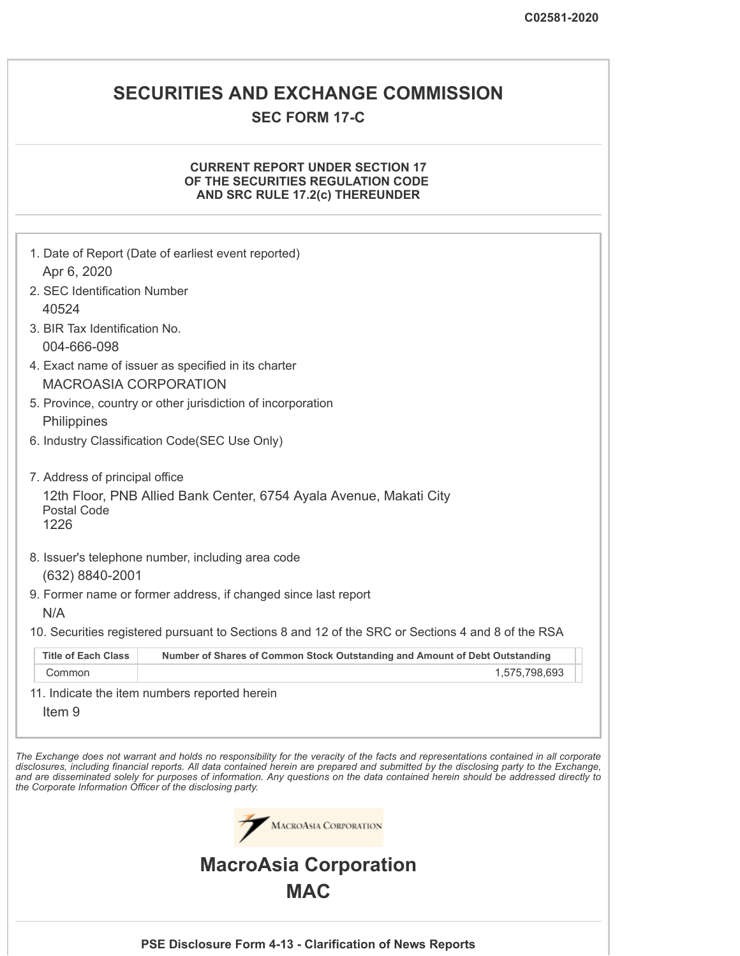# **SECURITIES AND EXCHANGE COMMISSION**

# **SEC FORM 17-C**

## **CURRENT REPORT UNDER SECTION 17 OF THE SECURITIES REGULATION CODE AND SRC RULE 17.2(c) THEREUNDER**

|                                                            | 1. Date of Report (Date of earliest event reported)                                                                                                                                                                                                                                                                                                                                                                                                                                      |
|------------------------------------------------------------|------------------------------------------------------------------------------------------------------------------------------------------------------------------------------------------------------------------------------------------------------------------------------------------------------------------------------------------------------------------------------------------------------------------------------------------------------------------------------------------|
| Apr 6, 2020                                                |                                                                                                                                                                                                                                                                                                                                                                                                                                                                                          |
| 2. SEC Identification Number<br>40524                      |                                                                                                                                                                                                                                                                                                                                                                                                                                                                                          |
| 3. BIR Tax Identification No.                              |                                                                                                                                                                                                                                                                                                                                                                                                                                                                                          |
| 004-666-098                                                |                                                                                                                                                                                                                                                                                                                                                                                                                                                                                          |
|                                                            | 4. Exact name of issuer as specified in its charter                                                                                                                                                                                                                                                                                                                                                                                                                                      |
| <b>MACROASIA CORPORATION</b>                               |                                                                                                                                                                                                                                                                                                                                                                                                                                                                                          |
|                                                            | 5. Province, country or other jurisdiction of incorporation                                                                                                                                                                                                                                                                                                                                                                                                                              |
| Philippines                                                |                                                                                                                                                                                                                                                                                                                                                                                                                                                                                          |
|                                                            | 6. Industry Classification Code(SEC Use Only)                                                                                                                                                                                                                                                                                                                                                                                                                                            |
|                                                            |                                                                                                                                                                                                                                                                                                                                                                                                                                                                                          |
| 7. Address of principal office                             | 12th Floor, PNB Allied Bank Center, 6754 Ayala Avenue, Makati City                                                                                                                                                                                                                                                                                                                                                                                                                       |
| <b>Postal Code</b>                                         |                                                                                                                                                                                                                                                                                                                                                                                                                                                                                          |
| 1226                                                       |                                                                                                                                                                                                                                                                                                                                                                                                                                                                                          |
|                                                            | 8. Issuer's telephone number, including area code                                                                                                                                                                                                                                                                                                                                                                                                                                        |
| (632) 8840-2001                                            |                                                                                                                                                                                                                                                                                                                                                                                                                                                                                          |
|                                                            | 9. Former name or former address, if changed since last report                                                                                                                                                                                                                                                                                                                                                                                                                           |
| N/A                                                        |                                                                                                                                                                                                                                                                                                                                                                                                                                                                                          |
|                                                            | 10. Securities registered pursuant to Sections 8 and 12 of the SRC or Sections 4 and 8 of the RSA                                                                                                                                                                                                                                                                                                                                                                                        |
| <b>Title of Each Class</b>                                 | Number of Shares of Common Stock Outstanding and Amount of Debt Outstanding                                                                                                                                                                                                                                                                                                                                                                                                              |
| Common                                                     | 1,575,798,693                                                                                                                                                                                                                                                                                                                                                                                                                                                                            |
|                                                            | 11. Indicate the item numbers reported herein                                                                                                                                                                                                                                                                                                                                                                                                                                            |
| Item <sub>9</sub>                                          |                                                                                                                                                                                                                                                                                                                                                                                                                                                                                          |
| the Corporate Information Officer of the disclosing party. | The Exchange does not warrant and holds no responsibility for the veracity of the facts and representations contained in all corporate<br>disclosures, including financial reports. All data contained herein are prepared and submitted by the disclosing party to the Exchange,<br>and are disseminated solely for purposes of information. Any questions on the data contained herein should be addressed directly to<br><b>MACROASIA CORPORATION</b><br><b>MacroAsia Corporation</b> |
|                                                            | <b>MAC</b>                                                                                                                                                                                                                                                                                                                                                                                                                                                                               |
|                                                            |                                                                                                                                                                                                                                                                                                                                                                                                                                                                                          |
|                                                            | PSE Disclosure Form 4-13 - Clarification of News Reports                                                                                                                                                                                                                                                                                                                                                                                                                                 |